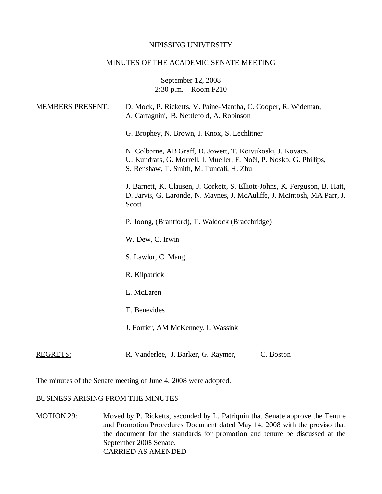### NIPISSING UNIVERSITY

## MINUTES OF THE ACADEMIC SENATE MEETING

September 12, 2008 2:30 p.m. – Room F210

| <b>MEMBERS PRESENT:</b> | D. Mock, P. Ricketts, V. Paine-Mantha, C. Cooper, R. Wideman,<br>A. Carfagnini, B. Nettlefold, A. Robinson                                                                      |
|-------------------------|---------------------------------------------------------------------------------------------------------------------------------------------------------------------------------|
|                         | G. Brophey, N. Brown, J. Knox, S. Lechlitner                                                                                                                                    |
|                         | N. Colborne, AB Graff, D. Jowett, T. Koivukoski, J. Kovacs,<br>U. Kundrats, G. Morrell, I. Mueller, F. Noël, P. Nosko, G. Phillips,<br>S. Renshaw, T. Smith, M. Tuncali, H. Zhu |
|                         | J. Barnett, K. Clausen, J. Corkett, S. Elliott-Johns, K. Ferguson, B. Hatt,<br>D. Jarvis, G. Laronde, N. Maynes, J. McAuliffe, J. McIntosh, MA Parr, J.<br>Scott                |
|                         | P. Joong, (Brantford), T. Waldock (Bracebridge)                                                                                                                                 |
|                         | W. Dew, C. Irwin                                                                                                                                                                |
|                         | S. Lawlor, C. Mang                                                                                                                                                              |
|                         | R. Kilpatrick                                                                                                                                                                   |
|                         | L. McLaren                                                                                                                                                                      |
|                         | T. Benevides                                                                                                                                                                    |
|                         | J. Fortier, AM McKenney, I. Wassink                                                                                                                                             |
| <b>REGRETS:</b>         | C. Boston<br>R. Vanderlee, J. Barker, G. Raymer,                                                                                                                                |

The minutes of the Senate meeting of June 4, 2008 were adopted.

#### BUSINESS ARISING FROM THE MINUTES

MOTION 29: Moved by P. Ricketts, seconded by L. Patriquin that Senate approve the Tenure and Promotion Procedures Document dated May 14, 2008 with the proviso that the document for the standards for promotion and tenure be discussed at the September 2008 Senate. CARRIED AS AMENDED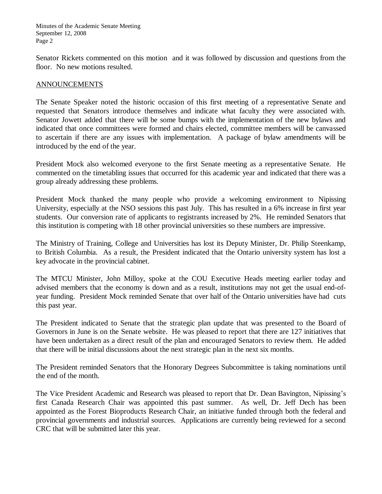Senator Rickets commented on this motion and it was followed by discussion and questions from the floor. No new motions resulted.

## ANNOUNCEMENTS

The Senate Speaker noted the historic occasion of this first meeting of a representative Senate and requested that Senators introduce themselves and indicate what faculty they were associated with. Senator Jowett added that there will be some bumps with the implementation of the new bylaws and indicated that once committees were formed and chairs elected, committee members will be canvassed to ascertain if there are any issues with implementation. A package of bylaw amendments will be introduced by the end of the year.

President Mock also welcomed everyone to the first Senate meeting as a representative Senate. He commented on the timetabling issues that occurred for this academic year and indicated that there was a group already addressing these problems.

President Mock thanked the many people who provide a welcoming environment to Nipissing University, especially at the NSO sessions this past July. This has resulted in a 6% increase in first year students. Our conversion rate of applicants to registrants increased by 2%. He reminded Senators that this institution is competing with 18 other provincial universities so these numbers are impressive.

The Ministry of Training, College and Universities has lost its Deputy Minister, Dr. Philip Steenkamp, to British Columbia. As a result, the President indicated that the Ontario university system has lost a key advocate in the provincial cabinet.

The MTCU Minister, John Milloy, spoke at the COU Executive Heads meeting earlier today and advised members that the economy is down and as a result, institutions may not get the usual end-ofyear funding. President Mock reminded Senate that over half of the Ontario universities have had cuts this past year.

The President indicated to Senate that the strategic plan update that was presented to the Board of Governors in June is on the Senate website. He was pleased to report that there are 127 initiatives that have been undertaken as a direct result of the plan and encouraged Senators to review them. He added that there will be initial discussions about the next strategic plan in the next six months.

The President reminded Senators that the Honorary Degrees Subcommittee is taking nominations until the end of the month.

The Vice President Academic and Research was pleased to report that Dr. Dean Bavington, Nipissing's first Canada Research Chair was appointed this past summer. As well, Dr. Jeff Dech has been appointed as the Forest Bioproducts Research Chair, an initiative funded through both the federal and provincial governments and industrial sources. Applications are currently being reviewed for a second CRC that will be submitted later this year.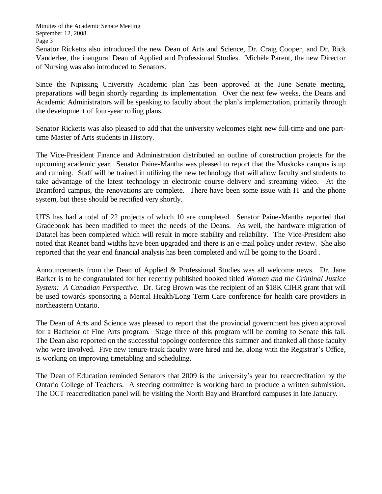Senator Ricketts also introduced the new Dean of Arts and Science, Dr. Craig Cooper, and Dr. Rick Vanderlee, the inaugural Dean of Applied and Professional Studies. Michèle Parent, the new Director of Nursing was also introduced to Senators.

Since the Nipissing University Academic plan has been approved at the June Senate meeting, preparations will begin shortly regarding its implementation. Over the next few weeks, the Deans and Academic Administrators will be speaking to faculty about the plan's implementation, primarily through the development of four-year rolling plans.

Senator Ricketts was also pleased to add that the university welcomes eight new full-time and one parttime Master of Arts students in History.

The Vice-President Finance and Administration distributed an outline of construction projects for the upcoming academic year. Senator Paine-Mantha was pleased to report that the Muskoka campus is up and running. Staff will be trained in utilizing the new technology that will allow faculty and students to take advantage of the latest technology in electronic course delivery and streaming video. At the Brantford campus, the renovations are complete. There have been some issue with IT and the phone system, but these should be rectified very shortly.

UTS has had a total of 22 projects of which 10 are completed. Senator Paine-Mantha reported that Gradebook has been modified to meet the needs of the Deans. As well, the hardware migration of Datatel has been completed which will result in more stability and reliability. The Vice-President also noted that Reznet band widths have been upgraded and there is an e-mail policy under review. She also reported that the year end financial analysis has been completed and will be going to the Board .

Announcements from the Dean of Applied & Professional Studies was all welcome news. Dr. Jane Barker is to be congratulated for her recently published booked titled *Women and the Criminal Justice System: A Canadian Perspective*. Dr. Greg Brown was the recipient of an \$18K CIHR grant that will be used towards sponsoring a Mental Health/Long Term Care conference for health care providers in northeastern Ontario.

The Dean of Arts and Science was pleased to report that the provincial government has given approval for a Bachelor of Fine Arts program. Stage three of this program will be coming to Senate this fall. The Dean also reported on the successful topology conference this summer and thanked all those faculty who were involved. Five new tenure-track faculty were hired and he, along with the Registrar's Office, is working on improving timetabling and scheduling.

The Dean of Education reminded Senators that 2009 is the university's year for reaccreditation by the Ontario College of Teachers. A steering committee is working hard to produce a written submission. The OCT reaccreditation panel will be visiting the North Bay and Brantford campuses in late January.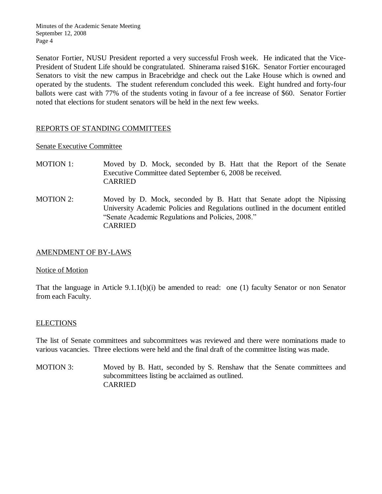Senator Fortier, NUSU President reported a very successful Frosh week. He indicated that the Vice-President of Student Life should be congratulated. Shinerama raised \$16K. Senator Fortier encouraged Senators to visit the new campus in Bracebridge and check out the Lake House which is owned and operated by the students. The student referendum concluded this week. Eight hundred and forty-four ballots were cast with 77% of the students voting in favour of a fee increase of \$60. Senator Fortier noted that elections for student senators will be held in the next few weeks.

# REPORTS OF STANDING COMMITTEES

Senate Executive Committee

- MOTION 1: Moved by D. Mock, seconded by B. Hatt that the Report of the Senate Executive Committee dated September 6, 2008 be received. CARRIED
- MOTION 2: Moved by D. Mock, seconded by B. Hatt that Senate adopt the Nipissing University Academic Policies and Regulations outlined in the document entitled "Senate Academic Regulations and Policies, 2008." CARRIED

## AMENDMENT OF BY-LAWS

#### Notice of Motion

That the language in Article 9.1.1(b)(i) be amended to read: one (1) faculty Senator or non Senator from each Faculty.

## ELECTIONS

The list of Senate committees and subcommittees was reviewed and there were nominations made to various vacancies. Three elections were held and the final draft of the committee listing was made.

MOTION 3: Moved by B. Hatt, seconded by S. Renshaw that the Senate committees and subcommittees listing be acclaimed as outlined. CARRIED